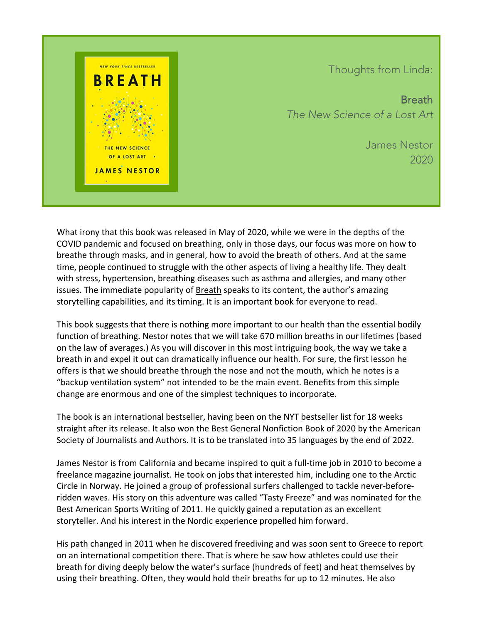

Thoughts from Linda:

Breath *The New Science of a Lost Art*

> James Nestor 2020

What irony that this book was released in May of 2020, while we were in the depths of the COVID pandemic and focused on breathing, only in those days, our focus was more on how to breathe through masks, and in general, how to avoid the breath of others. And at the same time, people continued to struggle with the other aspects of living a healthy life. They dealt with stress, hypertension, breathing diseases such as asthma and allergies, and many other issues. The immediate popularity of Breath speaks to its content, the author's amazing storytelling capabilities, and its timing. It is an important book for everyone to read.

This book suggests that there is nothing more important to our health than the essential bodily function of breathing. Nestor notes that we will take 670 million breaths in our lifetimes (based on the law of averages.) As you will discover in this most intriguing book, the way we take a breath in and expel it out can dramatically influence our health. For sure, the first lesson he offers is that we should breathe through the nose and not the mouth, which he notes is a "backup ventilation system" not intended to be the main event. Benefits from this simple change are enormous and one of the simplest techniques to incorporate.

The book is an international bestseller, having been on the NYT bestseller list for 18 weeks straight after its release. It also won the Best General Nonfiction Book of 2020 by the American Society of Journalists and Authors. It is to be translated into 35 languages by the end of 2022.

James Nestor is from California and became inspired to quit a full-time job in 2010 to become a freelance magazine journalist. He took on jobs that interested him, including one to the Arctic Circle in Norway. He joined a group of professional surfers challenged to tackle never-beforeridden waves. His story on this adventure was called "Tasty Freeze" and was nominated for the Best American Sports Writing of 2011. He quickly gained a reputation as an excellent storyteller. And his interest in the Nordic experience propelled him forward.

His path changed in 2011 when he discovered freediving and was soon sent to Greece to report on an international competition there. That is where he saw how athletes could use their breath for diving deeply below the water's surface (hundreds of feet) and heat themselves by using their breathing. Often, they would hold their breaths for up to 12 minutes. He also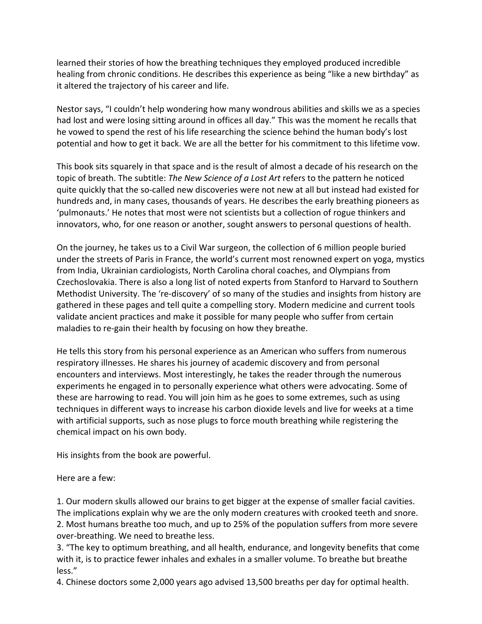learned their stories of how the breathing techniques they employed produced incredible healing from chronic conditions. He describes this experience as being "like a new birthday" as it altered the trajectory of his career and life.

Nestor says, "I couldn't help wondering how many wondrous abilities and skills we as a species had lost and were losing sitting around in offices all day." This was the moment he recalls that he vowed to spend the rest of his life researching the science behind the human body's lost potential and how to get it back. We are all the better for his commitment to this lifetime vow.

This book sits squarely in that space and is the result of almost a decade of his research on the topic of breath. The subtitle: *The New Science of a Lost Art* refers to the pattern he noticed quite quickly that the so-called new discoveries were not new at all but instead had existed for hundreds and, in many cases, thousands of years. He describes the early breathing pioneers as 'pulmonauts.' He notes that most were not scientists but a collection of rogue thinkers and innovators, who, for one reason or another, sought answers to personal questions of health.

On the journey, he takes us to a Civil War surgeon, the collection of 6 million people buried under the streets of Paris in France, the world's current most renowned expert on yoga, mystics from India, Ukrainian cardiologists, North Carolina choral coaches, and Olympians from Czechoslovakia. There is also a long list of noted experts from Stanford to Harvard to Southern Methodist University. The 're-discovery' of so many of the studies and insights from history are gathered in these pages and tell quite a compelling story. Modern medicine and current tools validate ancient practices and make it possible for many people who suffer from certain maladies to re-gain their health by focusing on how they breathe.

He tells this story from his personal experience as an American who suffers from numerous respiratory illnesses. He shares his journey of academic discovery and from personal encounters and interviews. Most interestingly, he takes the reader through the numerous experiments he engaged in to personally experience what others were advocating. Some of these are harrowing to read. You will join him as he goes to some extremes, such as using techniques in different ways to increase his carbon dioxide levels and live for weeks at a time with artificial supports, such as nose plugs to force mouth breathing while registering the chemical impact on his own body.

His insights from the book are powerful.

Here are a few:

1. Our modern skulls allowed our brains to get bigger at the expense of smaller facial cavities. The implications explain why we are the only modern creatures with crooked teeth and snore. 2. Most humans breathe too much, and up to 25% of the population suffers from more severe over-breathing. We need to breathe less.

3. "The key to optimum breathing, and all health, endurance, and longevity benefits that come with it, is to practice fewer inhales and exhales in a smaller volume. To breathe but breathe less."

4. Chinese doctors some 2,000 years ago advised 13,500 breaths per day for optimal health.